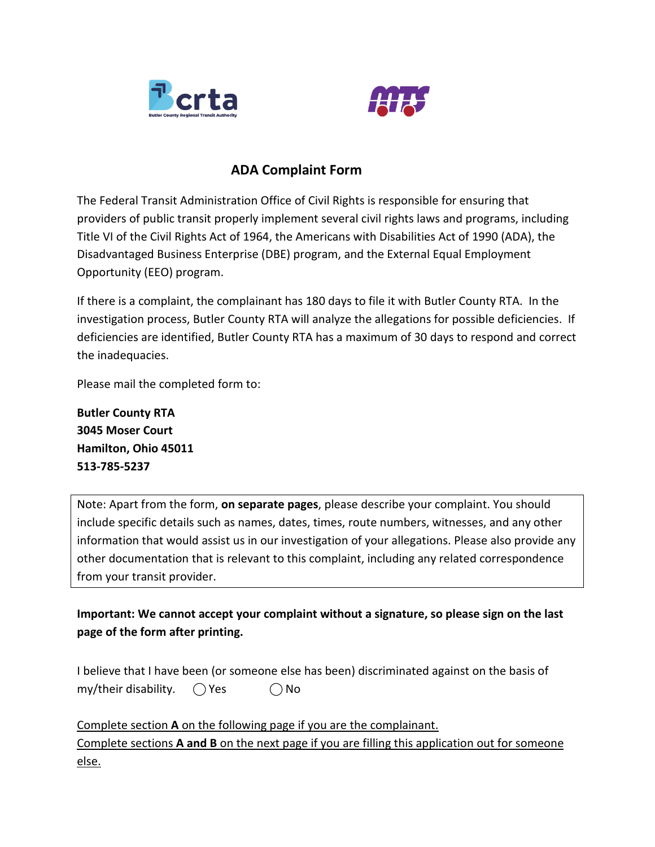



## **ADA Complaint Form**

The Federal Transit Administration Office of Civil Rights is responsible for ensuring that providers of public transit properly implement several civil rights laws and programs, including Title VI of the Civil Rights Act of 1964, the Americans with Disabilities Act of 1990 (ADA), the Disadvantaged Business Enterprise (DBE) program, and the External Equal Employment Opportunity (EEO) program.

If there is a complaint, the complainant has 180 days to file it with Butler County RTA. In the investigation process, Butler County RTA will analyze the allegations for possible deficiencies. If deficiencies are identified, Butler County RTA has a maximum of 30 days to respond and correct the inadequacies.

Please mail the completed form to:

**Butler County RTA 3045 Moser Court Hamilton, Ohio 45011 513-785-5237**

Note: Apart from the form, **on separate pages**, please describe your complaint. You should include specific details such as names, dates, times, route numbers, witnesses, and any other information that would assist us in our investigation of your allegations. Please also provide any other documentation that is relevant to this complaint, including any related correspondence from your transit provider.

**Important: We cannot accept your complaint without a signature, so please sign on the last page of the form after printing.** 

I believe that I have been (or someone else has been) discriminated against on the basis of  $my/$ their disability.  $\bigcap$  Yes  $\bigcap$  No

Complete section **A** on the following page if you are the complainant. Complete sections **A and B** on the next page if you are filling this application out for someone else.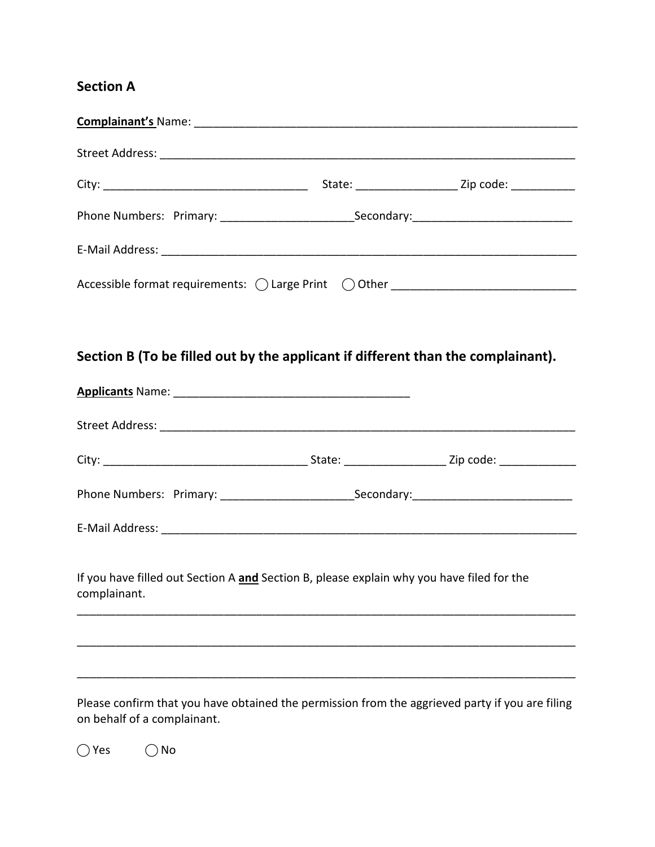## **Section A**

| Phone Numbers: Primary: ________________________________Secondary: _________________________________                                                                                                                                                                                                                        |  |  |
|-----------------------------------------------------------------------------------------------------------------------------------------------------------------------------------------------------------------------------------------------------------------------------------------------------------------------------|--|--|
|                                                                                                                                                                                                                                                                                                                             |  |  |
|                                                                                                                                                                                                                                                                                                                             |  |  |
|                                                                                                                                                                                                                                                                                                                             |  |  |
|                                                                                                                                                                                                                                                                                                                             |  |  |
| Section B (To be filled out by the applicant if different than the complainant).                                                                                                                                                                                                                                            |  |  |
|                                                                                                                                                                                                                                                                                                                             |  |  |
|                                                                                                                                                                                                                                                                                                                             |  |  |
|                                                                                                                                                                                                                                                                                                                             |  |  |
|                                                                                                                                                                                                                                                                                                                             |  |  |
|                                                                                                                                                                                                                                                                                                                             |  |  |
|                                                                                                                                                                                                                                                                                                                             |  |  |
| If you have filled out Section A and Section B, please explain why you have filed for the<br>complainant. The complaint of the complaint of the complaint of the complaint of the complex of the complex of the complex of the complex of the complex of the complex of the complex of the complex of the complex of the co |  |  |
|                                                                                                                                                                                                                                                                                                                             |  |  |
|                                                                                                                                                                                                                                                                                                                             |  |  |
|                                                                                                                                                                                                                                                                                                                             |  |  |
| Please confirm that you have obtained the permission from the aggrieved party if you are filing<br>on behalf of a complainant.                                                                                                                                                                                              |  |  |

 $\bigcirc$  Yes  $\bigcirc$  No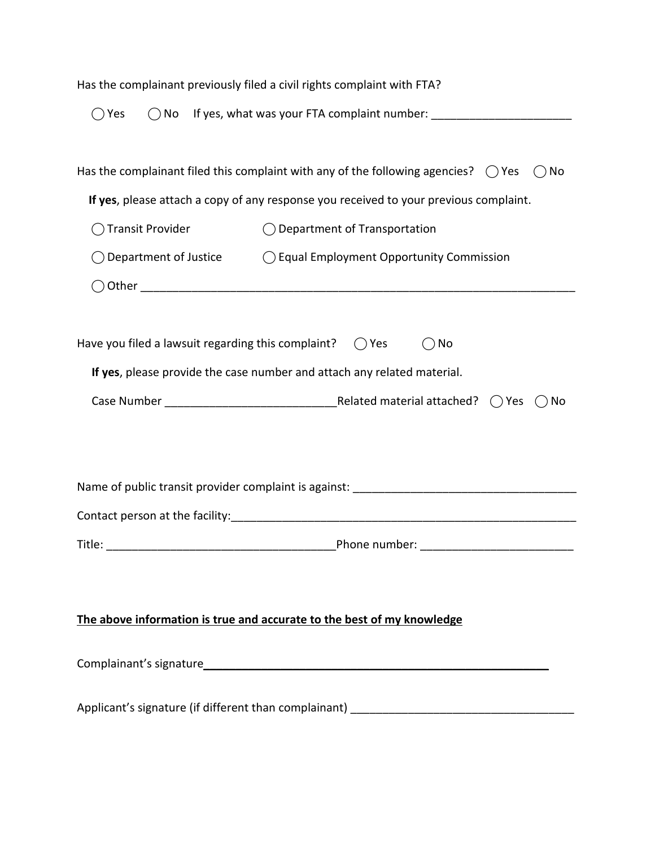| Has the complainant previously filed a civil rights complaint with FTA?                           |                                                                                     |  |
|---------------------------------------------------------------------------------------------------|-------------------------------------------------------------------------------------|--|
| $\bigcirc$ Yes                                                                                    |                                                                                     |  |
|                                                                                                   |                                                                                     |  |
| Has the complainant filed this complaint with any of the following agencies? $\bigcirc$ Yes<br>No |                                                                                     |  |
| If yes, please attach a copy of any response you received to your previous complaint.             |                                                                                     |  |
| <b>Transit Provider</b>                                                                           | $\bigcirc$ Department of Transportation                                             |  |
|                                                                                                   | $\bigcirc$ Department of Justice $\bigcirc$ Equal Employment Opportunity Commission |  |
|                                                                                                   |                                                                                     |  |
|                                                                                                   |                                                                                     |  |
| Have you filed a lawsuit regarding this complaint?<br>No<br>$()$ Yes                              |                                                                                     |  |
| If yes, please provide the case number and attach any related material.                           |                                                                                     |  |
|                                                                                                   | No                                                                                  |  |
|                                                                                                   |                                                                                     |  |
|                                                                                                   |                                                                                     |  |
|                                                                                                   |                                                                                     |  |
|                                                                                                   |                                                                                     |  |
| Title:                                                                                            | Phone number:                                                                       |  |
|                                                                                                   |                                                                                     |  |
|                                                                                                   |                                                                                     |  |
| The above information is true and accurate to the best of my knowledge                            |                                                                                     |  |
|                                                                                                   |                                                                                     |  |
|                                                                                                   |                                                                                     |  |